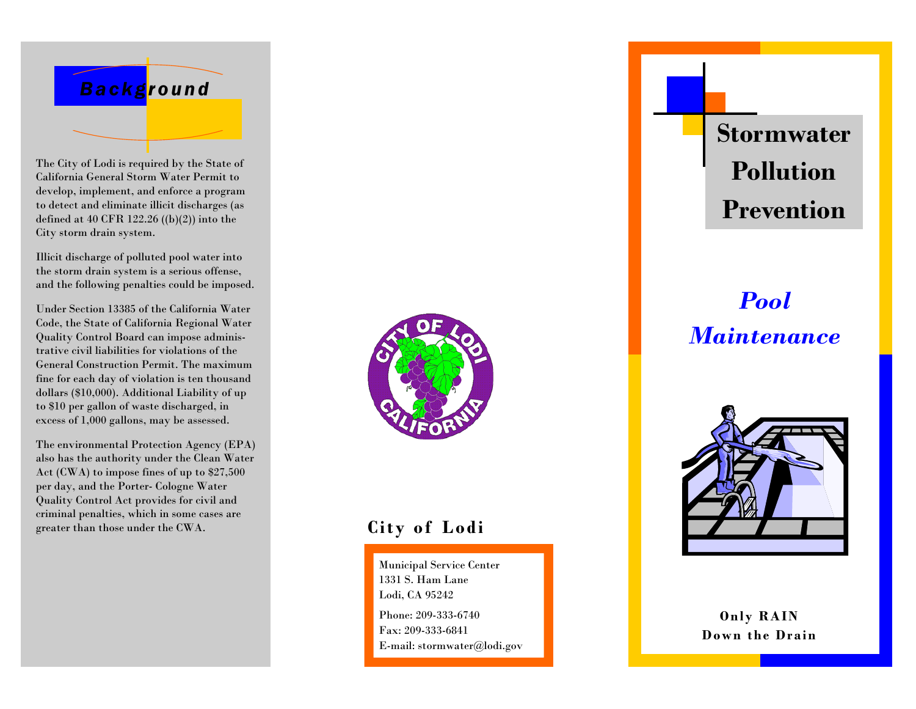

The City of Lodi is required by the State of California General Storm Water Permit to develop, implement, and enforce a program to detect and eliminate illicit discharges (as defined at 40 CFR 122.26 ((b)(2)) into the City storm drain system.

Illicit discharge of polluted pool water into the storm drain system is a serious offense, and the following penalties could be imposed.

Under Section 13385 of the California Water Code, the State of California Regional Water Quality Control Board can impose administrative civil liabilities for violations of the General Construction Permit. The maximum fine for each day of violation is ten thousand dollars (\$10,000). Additional Liability of up to \$10 per gallon of waste discharged, in excess of 1,000 gallons, may be assessed.

The environmental Protection Agency (EPA) also has the authority under the Clean Water Act (CWA) to impose fines of up to \$27,500 per day, and the Porter- Cologne Water Quality Control Act provides for civil and criminal penalties, which in some cases are greater than those under the CWA.



### **City of Lodi**

Municipal Service Center 1331 S. Ham Lane Lodi, CA 95242 Phone: 209-333-6740 Fax: 209-333-6841 E-mail: stormwater@lodi.gov **Stormwater Pollution Prevention** 

# *Pool Maintenance*



**Only RAIN Down the Drain**